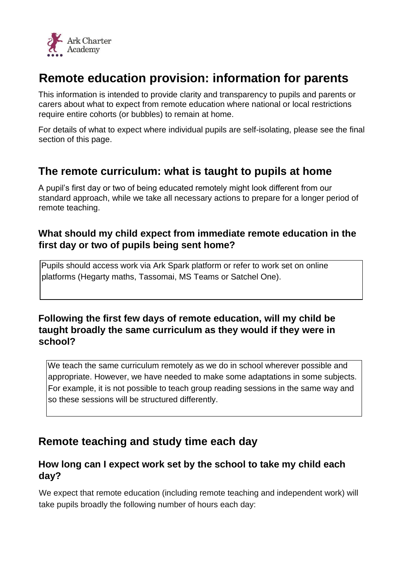

# **Remote education provision: information for parents**

This information is intended to provide clarity and transparency to pupils and parents or carers about what to expect from remote education where national or local restrictions require entire cohorts (or bubbles) to remain at home.

For details of what to expect where individual pupils are self-isolating, please see the final section of this page.

## **The remote curriculum: what is taught to pupils at home**

A pupil's first day or two of being educated remotely might look different from our standard approach, while we take all necessary actions to prepare for a longer period of remote teaching.

### **What should my child expect from immediate remote education in the first day or two of pupils being sent home?**

Pupils should access work via Ark Spark platform or refer to work set on online platforms (Hegarty maths, Tassomai, MS Teams or Satchel One).

### **Following the first few days of remote education, will my child be taught broadly the same curriculum as they would if they were in school?**

We teach the same curriculum remotely as we do in school wherever possible and appropriate. However, we have needed to make some adaptations in some subjects. For example, it is not possible to teach group reading sessions in the same way and so these sessions will be structured differently.

## **Remote teaching and study time each day**

#### **How long can I expect work set by the school to take my child each day?**

We expect that remote education (including remote teaching and independent work) will take pupils broadly the following number of hours each day: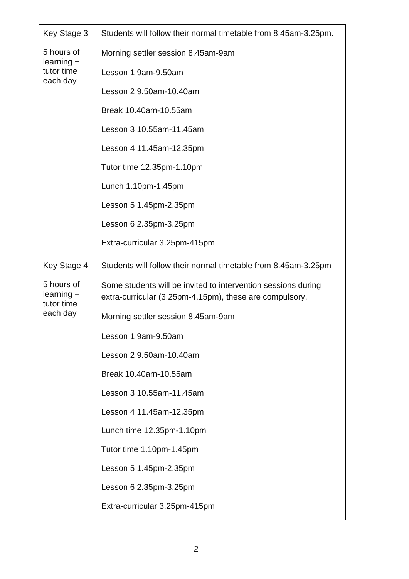| Key Stage 3                                          | Students will follow their normal timetable from 8.45am-3.25pm.                                                          |
|------------------------------------------------------|--------------------------------------------------------------------------------------------------------------------------|
| 5 hours of<br>$learning +$<br>tutor time<br>each day | Morning settler session 8.45am-9am                                                                                       |
|                                                      | Lesson 1 9am-9.50am                                                                                                      |
|                                                      | Lesson 2 9.50am-10.40am                                                                                                  |
|                                                      | Break 10.40am-10.55am                                                                                                    |
|                                                      | Lesson 3 10.55am-11.45am                                                                                                 |
|                                                      | Lesson 4 11.45am-12.35pm                                                                                                 |
|                                                      | Tutor time 12.35pm-1.10pm                                                                                                |
|                                                      | Lunch 1.10pm-1.45pm                                                                                                      |
|                                                      | Lesson 5 1.45pm-2.35pm                                                                                                   |
|                                                      | Lesson 6 2.35pm-3.25pm                                                                                                   |
|                                                      | Extra-curricular 3.25pm-415pm                                                                                            |
| Key Stage 4                                          | Students will follow their normal timetable from 8.45am-3.25pm                                                           |
| 5 hours of<br>learning +<br>tutor time<br>each day   | Some students will be invited to intervention sessions during<br>extra-curricular (3.25pm-4.15pm), these are compulsory. |
|                                                      | Morning settler session 8.45am-9am                                                                                       |
|                                                      | Lesson 1 9am-9.50am                                                                                                      |
|                                                      | Lesson 2 9.50am-10.40am                                                                                                  |
|                                                      | Break 10.40am-10.55am                                                                                                    |
|                                                      | Lesson 3 10.55am-11.45am                                                                                                 |
|                                                      | Lesson 4 11.45am-12.35pm                                                                                                 |
|                                                      | Lunch time 12.35pm-1.10pm                                                                                                |
|                                                      | Tutor time 1.10pm-1.45pm                                                                                                 |
|                                                      | Lesson 5 1.45pm-2.35pm                                                                                                   |
|                                                      | Lesson 6 2.35pm-3.25pm                                                                                                   |
|                                                      | Extra-curricular 3.25pm-415pm                                                                                            |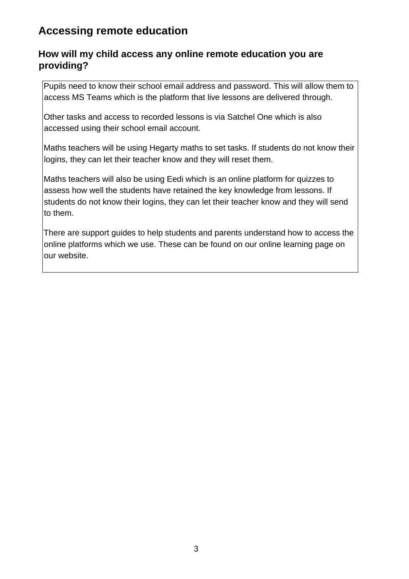## **Accessing remote education**

#### **How will my child access any online remote education you are providing?**

Pupils need to know their school email address and password. This will allow them to access MS Teams which is the platform that live lessons are delivered through.

Other tasks and access to recorded lessons is via Satchel One which is also accessed using their school email account.

Maths teachers will be using Hegarty maths to set tasks. If students do not know their logins, they can let their teacher know and they will reset them.

Maths teachers will also be using Eedi which is an online platform for quizzes to assess how well the students have retained the key knowledge from lessons. If students do not know their logins, they can let their teacher know and they will send to them.

There are support guides to help students and parents understand how to access the online platforms which we use. These can be found on our online learning page on our website.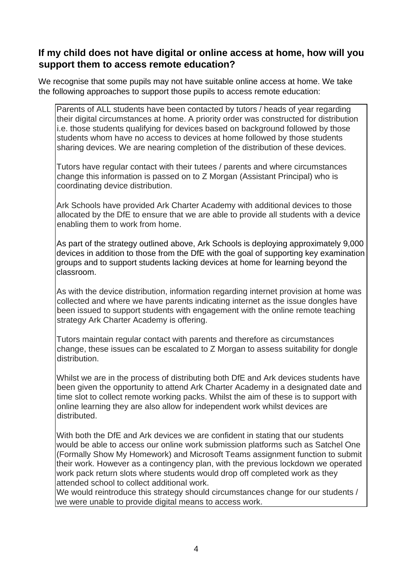#### **If my child does not have digital or online access at home, how will you support them to access remote education?**

We recognise that some pupils may not have suitable online access at home. We take the following approaches to support those pupils to access remote education:

Parents of ALL students have been contacted by tutors / heads of year regarding their digital circumstances at home. A priority order was constructed for distribution i.e. those students qualifying for devices based on background followed by those students whom have no access to devices at home followed by those students sharing devices. We are nearing completion of the distribution of these devices.

Tutors have regular contact with their tutees / parents and where circumstances change this information is passed on to Z Morgan (Assistant Principal) who is coordinating device distribution.

Ark Schools have provided Ark Charter Academy with additional devices to those allocated by the DfE to ensure that we are able to provide all students with a device enabling them to work from home.

As part of the strategy outlined above, Ark Schools is deploying approximately 9,000 devices in addition to those from the DfE with the goal of supporting key examination groups and to support students lacking devices at home for learning beyond the classroom.

As with the device distribution, information regarding internet provision at home was collected and where we have parents indicating internet as the issue dongles have been issued to support students with engagement with the online remote teaching strategy Ark Charter Academy is offering.

Tutors maintain regular contact with parents and therefore as circumstances change, these issues can be escalated to Z Morgan to assess suitability for dongle distribution.

Whilst we are in the process of distributing both DfE and Ark devices students have been given the opportunity to attend Ark Charter Academy in a designated date and time slot to collect remote working packs. Whilst the aim of these is to support with online learning they are also allow for independent work whilst devices are distributed.

With both the DfE and Ark devices we are confident in stating that our students would be able to access our online work submission platforms such as Satchel One (Formally Show My Homework) and Microsoft Teams assignment function to submit their work. However as a contingency plan, with the previous lockdown we operated work pack return slots where students would drop off completed work as they attended school to collect additional work.

We would reintroduce this strategy should circumstances change for our students / we were unable to provide digital means to access work.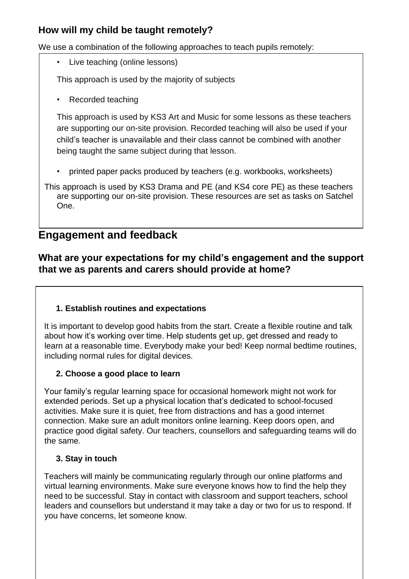### **How will my child be taught remotely?**

We use a combination of the following approaches to teach pupils remotely:

• Live teaching (online lessons)

This approach is used by the majority of subjects

• Recorded teaching

This approach is used by KS3 Art and Music for some lessons as these teachers are supporting our on-site provision. Recorded teaching will also be used if your child's teacher is unavailable and their class cannot be combined with another being taught the same subject during that lesson.

• printed paper packs produced by teachers (e.g. workbooks, worksheets)

This approach is used by KS3 Drama and PE (and KS4 core PE) as these teachers are supporting our on-site provision. These resources are set as tasks on Satchel One.

## **Engagement and feedback**

### **What are your expectations for my child's engagement and the support that we as parents and carers should provide at home?**

#### **1. Establish routines and expectations**

It is important to develop good habits from the start. Create a flexible routine and talk about how it's working over time. Help students get up, get dressed and ready to learn at a reasonable time. Everybody make your bed! Keep normal bedtime routines, including normal rules for digital devices.

#### **2. Choose a good place to learn**

Your family's regular learning space for occasional homework might not work for extended periods. Set up a physical location that's dedicated to school-focused activities. Make sure it is quiet, free from distractions and has a good internet connection. Make sure an adult monitors online learning. Keep doors open, and practice good digital safety. Our teachers, counsellors and safeguarding teams will do the same.

#### **3. Stay in touch**

Teachers will mainly be communicating regularly through our online platforms and virtual learning environments. Make sure everyone knows how to find the help they need to be successful. Stay in contact with classroom and support teachers, school leaders and counsellors but understand it may take a day or two for us to respond. If you have concerns, let someone know.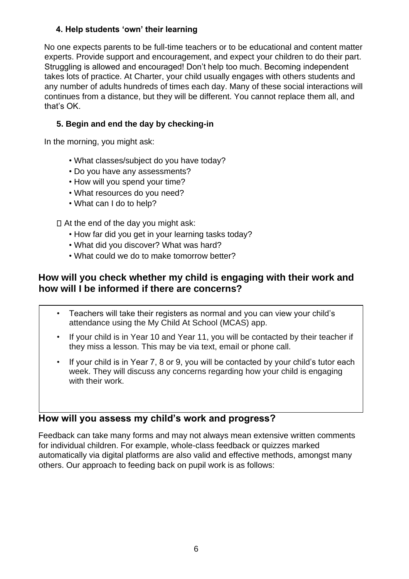#### **4. Help students 'own' their learning**

No one expects parents to be full-time teachers or to be educational and content matter experts. Provide support and encouragement, and expect your children to do their part. Struggling is allowed and encouraged! Don't help too much. Becoming independent takes lots of practice. At Charter, your child usually engages with others students and any number of adults hundreds of times each day. Many of these social interactions will continues from a distance, but they will be different. You cannot replace them all, and that's OK.

#### **5. Begin and end the day by checking-in**

In the morning, you might ask:

- What classes/subject do you have today?
- Do you have any assessments?
- How will you spend your time?
- What resources do you need?
- What can I do to help?

#### At the end of the day you might ask:

- How far did you get in your learning tasks today?
- What did you discover? What was hard?
- What could we do to make tomorrow better?

### **How will you check whether my child is engaging with their work and how will I be informed if there are concerns?**

- Teachers will take their registers as normal and you can view your child's attendance using the My Child At School (MCAS) app.
- If your child is in Year 10 and Year 11, you will be contacted by their teacher if they miss a lesson. This may be via text, email or phone call.
- If your child is in Year 7, 8 or 9, you will be contacted by your child's tutor each week. They will discuss any concerns regarding how your child is engaging with their work

#### **How will you assess my child's work and progress?**

Feedback can take many forms and may not always mean extensive written comments for individual children. For example, whole-class feedback or quizzes marked automatically via digital platforms are also valid and effective methods, amongst many others. Our approach to feeding back on pupil work is as follows: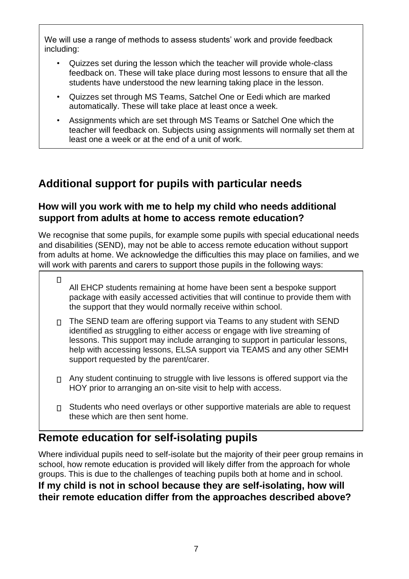We will use a range of methods to assess students' work and provide feedback including:

- Quizzes set during the lesson which the teacher will provide whole-class feedback on. These will take place during most lessons to ensure that all the students have understood the new learning taking place in the lesson.
- Quizzes set through MS Teams, Satchel One or Eedi which are marked automatically. These will take place at least once a week.
- Assignments which are set through MS Teams or Satchel One which the teacher will feedback on. Subjects using assignments will normally set them at least one a week or at the end of a unit of work.

# **Additional support for pupils with particular needs**

#### **How will you work with me to help my child who needs additional support from adults at home to access remote education?**

We recognise that some pupils, for example some pupils with special educational needs and disabilities (SEND), may not be able to access remote education without support from adults at home. We acknowledge the difficulties this may place on families, and we will work with parents and carers to support those pupils in the following ways:

- $\Box$ All EHCP students remaining at home have been sent a bespoke support package with easily accessed activities that will continue to provide them with the support that they would normally receive within school.
- $\Box$  The SEND team are offering support via Teams to any student with SEND identified as struggling to either access or engage with live streaming of lessons. This support may include arranging to support in particular lessons, help with accessing lessons, ELSA support via TEAMS and any other SEMH support requested by the parent/carer.
- $\Box$  Any student continuing to struggle with live lessons is offered support via the HOY prior to arranging an on-site visit to help with access.
- $\Box$  Students who need overlays or other supportive materials are able to request these which are then sent home.

# **Remote education for self-isolating pupils**

Where individual pupils need to self-isolate but the majority of their peer group remains in school, how remote education is provided will likely differ from the approach for whole groups. This is due to the challenges of teaching pupils both at home and in school. **If my child is not in school because they are self-isolating, how will** 

**their remote education differ from the approaches described above?**